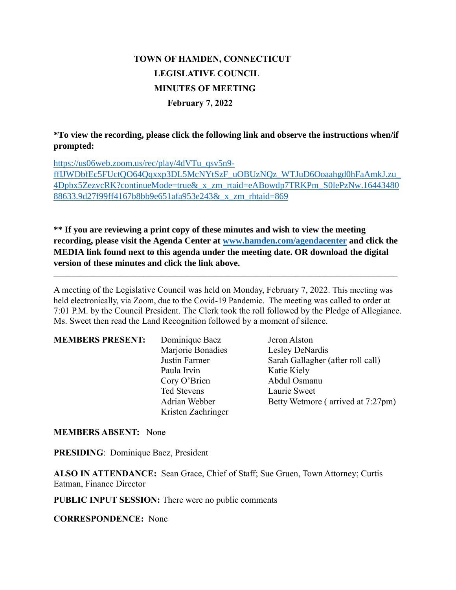# **TOWN OF HAMDEN, CONNECTICUT LEGISLATIVE COUNCIL MINUTES OF MEETING February 7, 2022**

### **\*To view the recording, please click the following link and observe the instructions when/if prompted:**

https://us06web.zoom.us/rec/play/4dVTu\_qsv5n9 ffIJWDbfEc5FUctQO64Qqxxp3DL5McNYtSzF\_uOBUzNQz\_WTJuD6Ooaahgd0hFaAmkJ.zu\_ 4Dpbx5ZezvcRK?continueMode=true&\_x\_zm\_rtaid=eABowdp7TRKPm\_S0lePzNw.16443480 88633.9d27f99ff4167b8bb9e651afa953e243&\_x\_zm\_rhtaid=869

**\*\* If you are reviewing a print copy of these minutes and wish to view the meeting recording, please visit the Agenda Center at [www.hamden.com/agendacenter](http://www.hamden.com/agendacenter) and click the MEDIA link found next to this agenda under the meeting date. OR download the digital version of these minutes and click the link above.**

**\_\_\_\_\_\_\_\_\_\_\_\_\_\_\_\_\_\_\_\_\_\_\_\_\_\_\_\_\_\_\_\_\_\_\_\_\_\_\_\_\_\_\_\_\_\_\_\_\_\_\_\_\_\_\_\_\_\_\_\_\_\_\_\_\_\_\_\_\_\_\_\_\_\_\_\_\_\_\_\_\_\_\_\_**

A meeting of the Legislative Council was held on Monday, February 7, 2022. This meeting was held electronically, via Zoom, due to the Covid-19 Pandemic. The meeting was called to order at 7:01 P.M. by the Council President. The Clerk took the roll followed by the Pledge of Allegiance. Ms. Sweet then read the Land Recognition followed by a moment of silence.

| <b>MEMBERS PRESENT:</b> | Dominique Baez<br>Marjorie Bonadies | Jeron Alston<br>Lesley DeNardis   |
|-------------------------|-------------------------------------|-----------------------------------|
|                         | Justin Farmer                       | Sarah Gallagher (after roll call) |
|                         | Paula Irvin                         | Katie Kiely                       |
|                         | Cory O'Brien                        | Abdul Osmanu                      |
|                         | Ted Stevens                         | Laurie Sweet                      |
|                         | Adrian Webber                       | Betty Wetmore (arrived at 7:27pm) |
|                         | Kristen Zaehringer                  |                                   |

#### **MEMBERS ABSENT:** None

**PRESIDING**: Dominique Baez, President

**ALSO IN ATTENDANCE:** Sean Grace, Chief of Staff; Sue Gruen, Town Attorney; Curtis Eatman, Finance Director

**PUBLIC INPUT SESSION:** There were no public comments

**CORRESPONDENCE:** None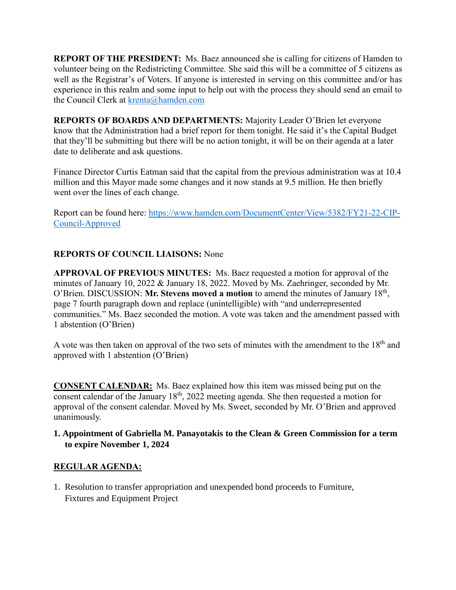**REPORT OF THE PRESIDENT:** Ms. Baez announced she is calling for citizens of Hamden to volunteer being on the Redistricting Committee. She said this will be a committee of 5 citizens as well as the Registrar's of Voters. If anyone is interested in serving on this committee and/or has experience in this realm and some input to help out with the process they should send an email to the Council Clerk at [krenta@hamden.com](mailto:krenta@hamden.com)

**REPORTS OF BOARDS AND DEPARTMENTS:** Majority Leader O'Brien let everyone know that the Administration had a brief report for them tonight. He said it's the Capital Budget that they'll be submitting but there will be no action tonight, it will be on their agenda at a later date to deliberate and ask questions.

Finance Director Curtis Eatman said that the capital from the previous administration was at 10.4 million and this Mayor made some changes and it now stands at 9.5 million. He then briefly went over the lines of each change.

Report can be found here: [https://www.hamden.com/DocumentCenter/View/5382/FY21-22-CIP-](https://www.hamden.com/DocumentCenter/View/5382/FY21-22-CIP-Council-Approved)[Council-Approved](https://www.hamden.com/DocumentCenter/View/5382/FY21-22-CIP-Council-Approved)

# **REPORTS OF COUNCIL LIAISONS:** None

**APPROVAL OF PREVIOUS MINUTES:** Ms. Baez requested a motion for approval of the minutes of January 10, 2022 & January 18, 2022. Moved by Ms. Zaehringer, seconded by Mr. O'Brien. DISCUSSION: Mr. Stevens moved a motion to amend the minutes of January 18<sup>th</sup>, page 7 fourth paragraph down and replace (unintelligible) with "and underrepresented communities." Ms. Baez seconded the motion. A vote was taken and the amendment passed with 1 abstention (O'Brien)

A vote was then taken on approval of the two sets of minutes with the amendment to the  $18<sup>th</sup>$  and approved with 1 abstention (O'Brien)

**CONSENT CALENDAR:** Ms. Baez explained how this item was missed being put on the consent calendar of the January  $18<sup>th</sup>$ , 2022 meeting agenda. She then requested a motion for approval of the consent calendar. Moved by Ms. Sweet, seconded by Mr. O'Brien and approved unanimously.

### **1. Appointment of Gabriella M. Panayotakis to the Clean & Green Commission for a term to expire November 1, 2024**

# **REGULAR AGENDA:**

1. Resolution to transfer appropriation and unexpended bond proceeds to Furniture, Fixtures and Equipment Project